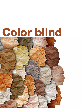